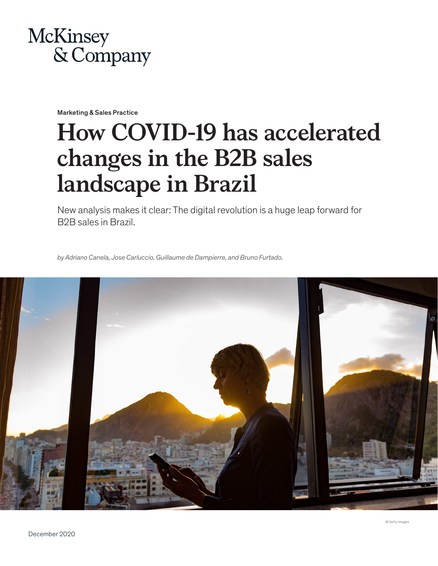

Marketing & Sales Practice

# **How COVID-19 has accelerated changes in the B2B sales landscape in Brazil**

New analysis makes it clear: The digital revolution is a huge leap forward for B2B sales in Brazil.

*by Adriano Canela, Jose Carluccio, Guillaume de Dampierre, and Bruno Furtado.*

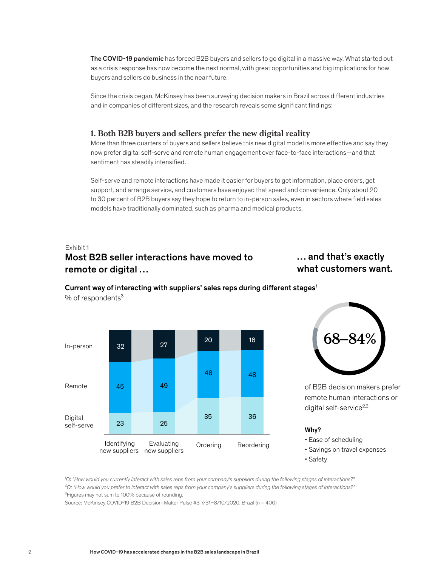The COVID-19 pandemic has forced B2B buyers and sellers to go digital in a massive way. What started out as a crisis response has now become the next normal, with great opportunities and big implications for how buyers and sellers do business in the near future.

Since the crisis began, McKinsey has been surveying decision makers in Brazil across different industries and in companies of different sizes, and the research reveals some significant findings:

#### **1. Both B2B buyers and sellers prefer the new digital reality**

More than three quarters of buyers and sellers believe this new digital model is more effective and say they now prefer digital self-serve and remote human engagement over face-to-face interactions—and that sentiment has steadily intensified.

Self-serve and remote interactions have made it easier for buyers to get information, place orders, get support, and arrange service, and customers have enjoyed that speed and convenience. Only about 20 to 30 percent of B2B buyers say they hope to return to in-person sales, even in sectors where field sales models have traditionally dominated, such as pharma and medical products.

# Exhibit 1 Most B2B seller interactions have moved to remote or digital …

# … and that's exactly what customers want.



#### Current way of interacting with suppliers' sales reps during different stages<sup>1</sup>  $%$  of respondents<sup>3</sup>



of B2B decision makers prefer remote human interactions or digital self-service $^{2,3}$ 

#### Why?

• Ease of scheduling

- Savings on travel expenses
- Safety

<sup>1</sup>Q: "How would you currently interact with sales reps from your company's suppliers during the following stages of interactions?" *²Q: "How would you prefer to interact with sales reps from your company's suppliers during the following stages of interactions?"* <sup>3</sup>Figures may not sum to 100% because of rounding.

Source: McKinsey COVID-19 B2B Decision-Maker Pulse #3 7/31–8/10/2020, Brazil (n = 400)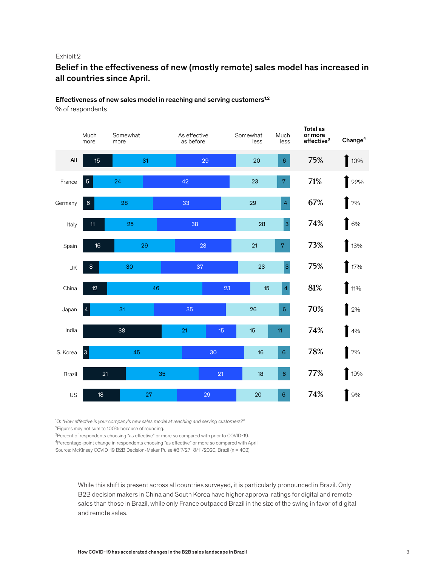#### Exhibit 2

## Belief in the effectiveness of new (mostly remote) sales model has increased in all countries since April.

## Effectiveness of new sales model in reaching and serving customers $1,2$

% of respondents



<sup>1</sup>Q: "How effective is your company's new sales model at reaching and serving customers?"

<sup>2</sup> Figures may not sum to 100% because of rounding.

<sup>3</sup>Percent of respondents choosing "as effective" or more so compared with prior to COVID-19.

⁴Percentage-point change in respondents choosing "as effective" or more so compared with April.

Source: McKinsey COVID-19 B2B Decision-Maker Pulse #3 7/27–8/11/2020, Brazil (n = 402)

While this shift is present across all countries surveyed, it is particularly pronounced in Brazil. Only B2B decision makers in China and South Korea have higher approval ratings for digital and remote sales than those in Brazil, while only France outpaced Brazil in the size of the swing in favor of digital and remote sales.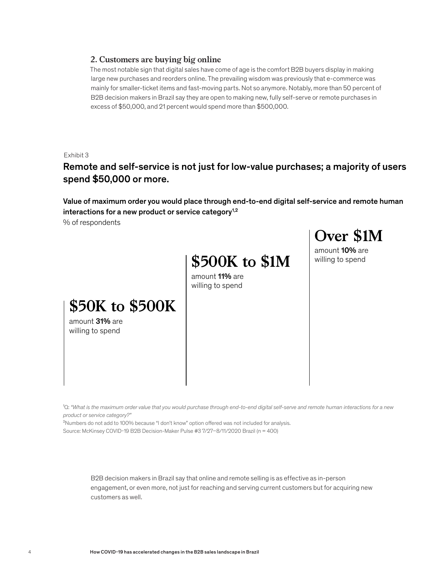#### **2. Customers are buying big online**

The most notable sign that digital sales have come of age is the comfort B2B buyers display in making large new purchases and reorders online. The prevailing wisdom was previously that e-commerce was mainly for smaller-ticket items and fast-moving parts. Not so anymore. Notably, more than 50 percent of B2B decision makers in Brazil say they are open to making new, fully self-serve or remote purchases in excess of \$50,000, and 21 percent would spend more than \$500,000.

Exhibit 3

Remote and self-service is not just for low-value purchases; a majority of users spend \$50,000 or more.

Value of maximum order you would place through end-to-end digital self-service and remote human interactions for a new product or service category<sup>1,2</sup>

% of respondents

# **\$500K to \$1M**

amount 10% are willing to spend

**Over \$1M**

amount 11% are willing to spend

# **\$50K to \$500K**

amount 31% are willing to spend

<sup>1</sup>Q: "What is the maximum order value that you would purchase through end-to-end digital self-serve and remote human interactions for a new *product or service category?"*

²Numbers do not add to 100% because "I don't know" option offered was not included for analysis. Source: McKinsey COVID-19 B2B Decision-Maker Pulse #3 7/27–8/11/2020 Brazil (n = 400)

> B2B decision makers in Brazil say that online and remote selling is as effective as in-person engagement, or even more, not just for reaching and serving current customers but for acquiring new customers as well.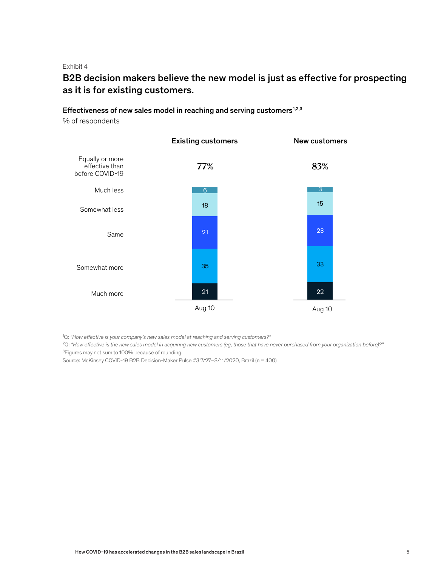Exhibit 4

# B2B decision makers believe the new model is just as effective for prospecting as it is for existing customers.

#### Effectiveness of new sales model in reaching and serving customers $1,2,3$

% of respondents



<sup>1</sup>Q: "How effective is your company's new sales model at reaching and serving customers?"

²Q: *"How effective is the new sales model in acquiring new customers (eg, those that have never purchased from your organization before)?"* <sup>3</sup>Figures may not sum to 100% because of rounding.

Source: McKinsey COVID-19 B2B Decision-Maker Pulse #3 7/27–8/11/2020, Brazil (n = 400)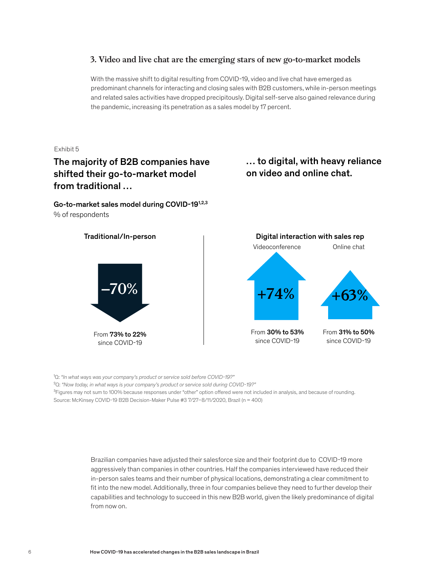#### **3. Video and live chat are the emerging stars of new go-to-market models**

With the massive shift to digital resulting from COVID-19, video and live chat have emerged as predominant channels for interacting and closing sales with B2B customers, while in-person meetings and related sales activities have dropped precipitously. Digital self-serve also gained relevance during the pandemic, increasing its penetration as a sales model by 17 percent.

Exhibit 5

# The majority of B2B companies have shifted their go-to-market model from traditional …

Go-to-market sales model during COVID-191,2,3 % of respondents

… to digital, with heavy reliance on video and online chat.



<sup>1</sup>Q: "In what ways was your company's product or service sold before COVID-19?"

²Q: *"Now today, in what ways is your company's product or service sold during COVID-19?"*

<sup>3</sup>Figures may not sum to 100% because responses under "other" option offered were not included in analysis, and because of rounding. Source: McKinsey COVID-19 B2B Decision-Maker Pulse #3 7/27–8/11/2020, Brazil (n = 400)

> Brazilian companies have adjusted their salesforce size and their footprint due to COVID-19 more aggressively than companies in other countries. Half the companies interviewed have reduced their in-person sales teams and their number of physical locations, demonstrating a clear commitment to fit into the new model. Additionally, three in four companies believe they need to further develop their capabilities and technology to succeed in this new B2B world, given the likely predominance of digital from now on.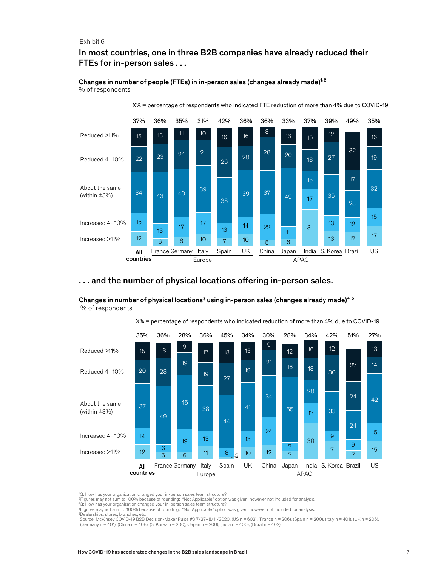#### Exhibit 6

#### In most countries, one in three B2B companies have already reduced their FTEs for in-person sales . . .

#### Changes in number of people (FTEs) in in-person sales (changes already made)<sup>1,2</sup> % of respondents

X**%** = percentage of respondents who indicated FTE reduction of more than 4% due to COVID-19



#### ... and the number of physical locations offering in-person sales.

Changes in number of physical locations $^{\rm 3}$  using in-person sales (changes already made) $^{\rm 4,5}$ 

Reduced >11% Reduced 4–10% About the same (within ±3%) Increased 4–10% Increased >11% 35% All countries 36% France Germany Italy 28% 36% 34% UK 30% China 28% Japan 34% India S. Korea Brazil 42% 51% 27% US Europe APAC 45% Spain X**%** = percentage of respondents who indicated reduction of more than 4% due to COVID-19 

% of respondents

Q: How has your organization changed your in-person sales team structure?

2Figures may not sum to 100% because of rounding; "Not Applicable" option was given; however not included for analysis.

<sup>3</sup>Q: How has your organization changed your in-person sales team structure?

4Figures may not sum to 100% because of rounding; "Not Applicable" option was given; however not included for analysis.

5Dealerships, stores, branches, etc. Source: McKinsey COVID-19 B2B Decision-Maker Pulse #3 7/27–8/11/2020, (US n = 602), (France n = 206), (Spain n = 200), (Italy n = 401), (UK n = 206), (Germany n = 401), (China n = 408), (S. Korea n = 200), (Japan n = 200), (India n = 400), (Brazil n = 402)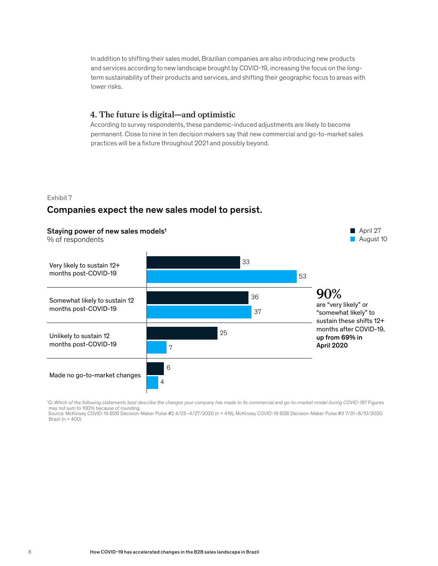In addition to shifting their sales model, Brazilian companies are also introducing new products and services according to new landscape brought by COVID-19, increasing the focus on the longterm sustainability of their products and services, and shifting their geographic focus to areas with lower risks.

#### **4. The future is digital—and optimistic**

According to survey respondents, these pandemic-induced adjustments are likely to become permanent. Close to nine in ten decision makers say that new commercial and go-to-market sales practices will be a fixture throughout 2021 and possibly beyond.

#### Exhibit 7

### Companies expect the new sales model to persist.



1 Q: *Which of the following statements best describe the changes your company has made to its commercial and go-to-market model during COVID-19?* Figures may not sum to 100% because of rounding.<br>Source: McKinsey COVID-19 B2B Decision-Maker Pulse #2 4/23–4/27/2020 (n = 419), McKinsey COVID-19 B2B Decision-Maker Pulse #3 7/31–8/10/2020

Brazil ( $n = 400$ )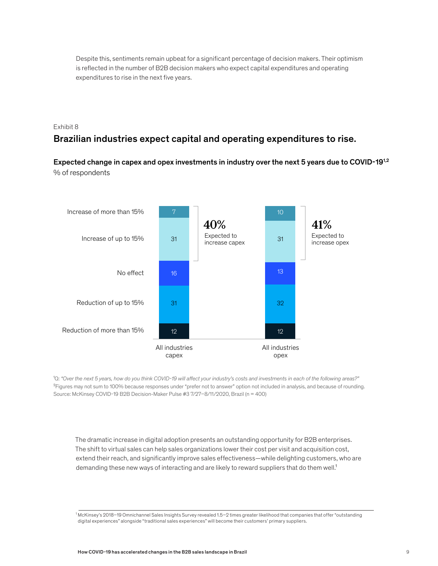Despite this, sentiments remain upbeat for a significant percentage of decision makers. Their optimism is reflected in the number of B2B decision makers who expect capital expenditures and operating expenditures to rise in the next five years.

#### Exhibit 8

# Brazilian industries expect capital and operating expenditures to rise.

Expected change in capex and opex investments in industry over the next 5 years due to COVID-191,2 % of respondents



<sup>1</sup>Q: "Over the next 5 years, how do you think COVID-19 will affect your industry's costs and investments in each of the following areas?" <sup>2</sup>Figures may not sum to 100% because responses under "prefer not to answer" option not included in analysis, and because of rounding. Source: McKinsey COVID-19 B2B Decision-Maker Pulse #3 7/27–8/11/2020, Brazil (n = 400)

The dramatic increase in digital adoption presents an outstanding opportunity for B2B enterprises. The shift to virtual sales can help sales organizations lower their cost per visit and acquisition cost, extend their reach, and significantly improve sales effectiveness—while delighting customers, who are demanding these new ways of interacting and are likely to reward suppliers that do them well.<sup>1</sup>

<sup>1</sup> McKinsey's 2018–19 Omnichannel Sales Insights Survey revealed 1.5–2 times greater likelihood that companies that offer "outstanding digital experiences" alongside "traditional sales experiences" will become their customers' primary suppliers.